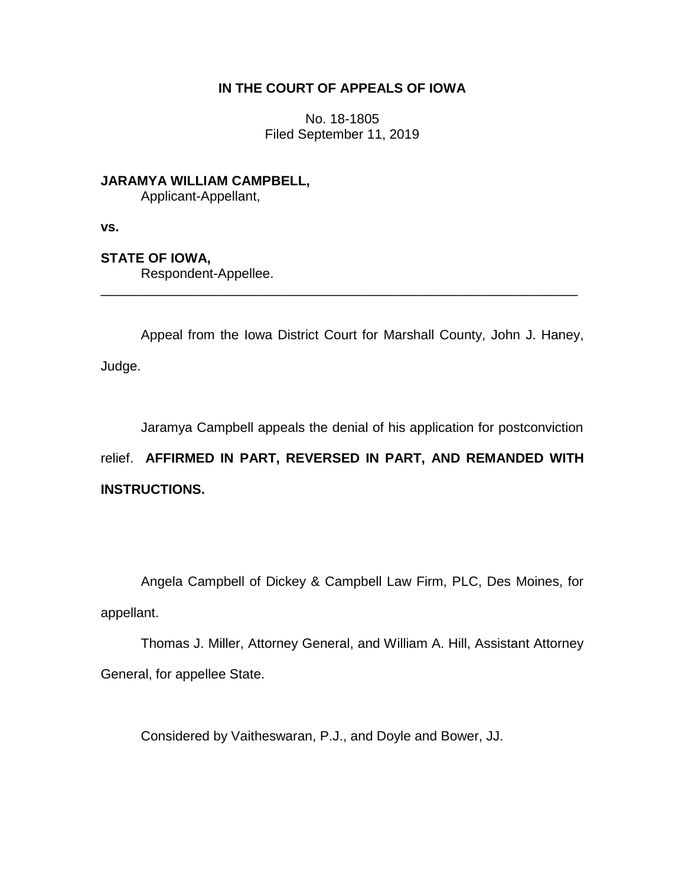# **IN THE COURT OF APPEALS OF IOWA**

No. 18-1805 Filed September 11, 2019

**JARAMYA WILLIAM CAMPBELL,** Applicant-Appellant,

**vs.**

# **STATE OF IOWA,**

Respondent-Appellee.

Appeal from the Iowa District Court for Marshall County, John J. Haney, Judge.

\_\_\_\_\_\_\_\_\_\_\_\_\_\_\_\_\_\_\_\_\_\_\_\_\_\_\_\_\_\_\_\_\_\_\_\_\_\_\_\_\_\_\_\_\_\_\_\_\_\_\_\_\_\_\_\_\_\_\_\_\_\_\_\_

Jaramya Campbell appeals the denial of his application for postconviction

relief. **AFFIRMED IN PART, REVERSED IN PART, AND REMANDED WITH INSTRUCTIONS.**

Angela Campbell of Dickey & Campbell Law Firm, PLC, Des Moines, for appellant.

Thomas J. Miller, Attorney General, and William A. Hill, Assistant Attorney General, for appellee State.

Considered by Vaitheswaran, P.J., and Doyle and Bower, JJ.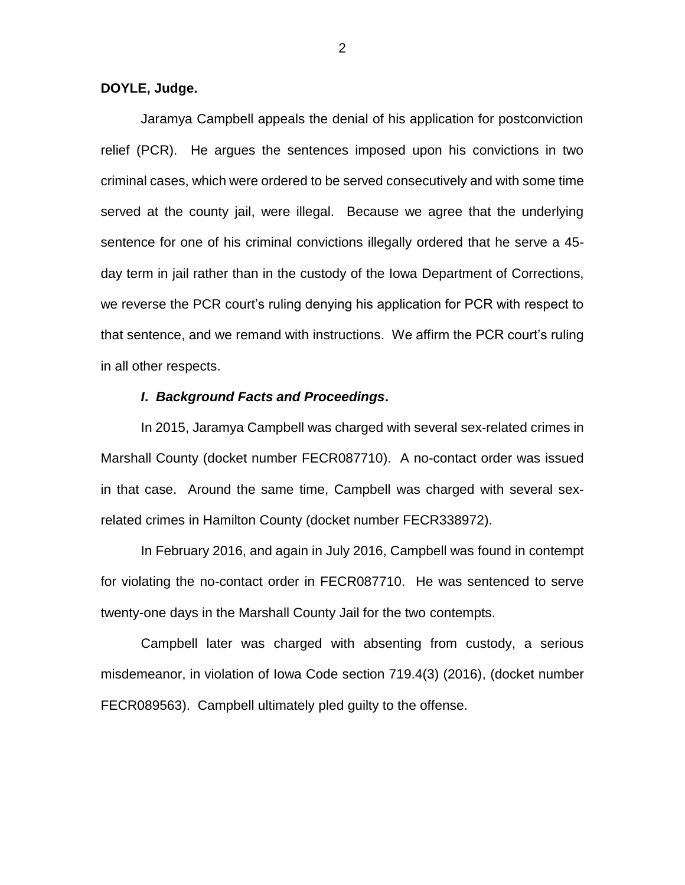### **DOYLE, Judge.**

Jaramya Campbell appeals the denial of his application for postconviction relief (PCR). He argues the sentences imposed upon his convictions in two criminal cases, which were ordered to be served consecutively and with some time served at the county jail, were illegal. Because we agree that the underlying sentence for one of his criminal convictions illegally ordered that he serve a 45 day term in jail rather than in the custody of the Iowa Department of Corrections, we reverse the PCR court's ruling denying his application for PCR with respect to that sentence, and we remand with instructions. We affirm the PCR court's ruling in all other respects.

## *I***.** *Background Facts and Proceedings***.**

In 2015, Jaramya Campbell was charged with several sex-related crimes in Marshall County (docket number FECR087710). A no-contact order was issued in that case. Around the same time, Campbell was charged with several sexrelated crimes in Hamilton County (docket number FECR338972).

In February 2016, and again in July 2016, Campbell was found in contempt for violating the no-contact order in FECR087710. He was sentenced to serve twenty-one days in the Marshall County Jail for the two contempts.

Campbell later was charged with absenting from custody, a serious misdemeanor, in violation of Iowa Code section 719.4(3) (2016), (docket number FECR089563). Campbell ultimately pled guilty to the offense.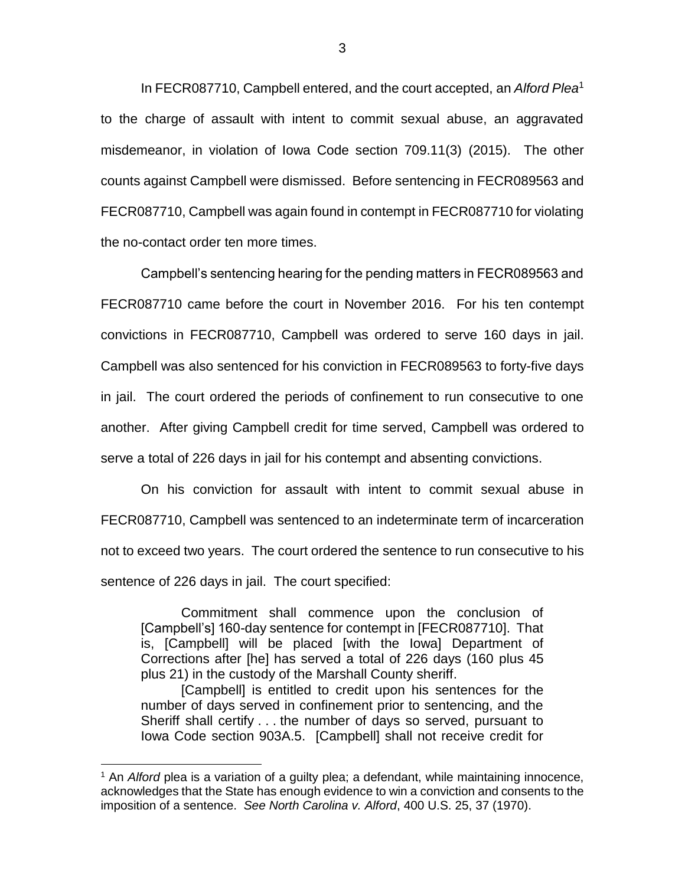In FECR087710, Campbell entered, and the court accepted, an *Alford Plea*<sup>1</sup> to the charge of assault with intent to commit sexual abuse, an aggravated misdemeanor, in violation of Iowa Code section 709.11(3) (2015). The other counts against Campbell were dismissed. Before sentencing in FECR089563 and FECR087710, Campbell was again found in contempt in FECR087710 for violating the no-contact order ten more times.

Campbell's sentencing hearing for the pending matters in FECR089563 and FECR087710 came before the court in November 2016. For his ten contempt convictions in FECR087710, Campbell was ordered to serve 160 days in jail. Campbell was also sentenced for his conviction in FECR089563 to forty-five days in jail. The court ordered the periods of confinement to run consecutive to one another. After giving Campbell credit for time served, Campbell was ordered to serve a total of 226 days in jail for his contempt and absenting convictions.

On his conviction for assault with intent to commit sexual abuse in FECR087710, Campbell was sentenced to an indeterminate term of incarceration not to exceed two years. The court ordered the sentence to run consecutive to his sentence of 226 days in jail. The court specified:

Commitment shall commence upon the conclusion of [Campbell's] 160-day sentence for contempt in [FECR087710]. That is, [Campbell] will be placed [with the Iowa] Department of Corrections after [he] has served a total of 226 days (160 plus 45 plus 21) in the custody of the Marshall County sheriff.

[Campbell] is entitled to credit upon his sentences for the number of days served in confinement prior to sentencing, and the Sheriff shall certify . . . the number of days so served, pursuant to Iowa Code section 903A.5. [Campbell] shall not receive credit for

 $\overline{a}$ 

<sup>1</sup> An *Alford* plea is a variation of a guilty plea; a defendant, while maintaining innocence, acknowledges that the State has enough evidence to win a conviction and consents to the imposition of a sentence. *See North Carolina v. Alford*, 400 U.S. 25, 37 (1970).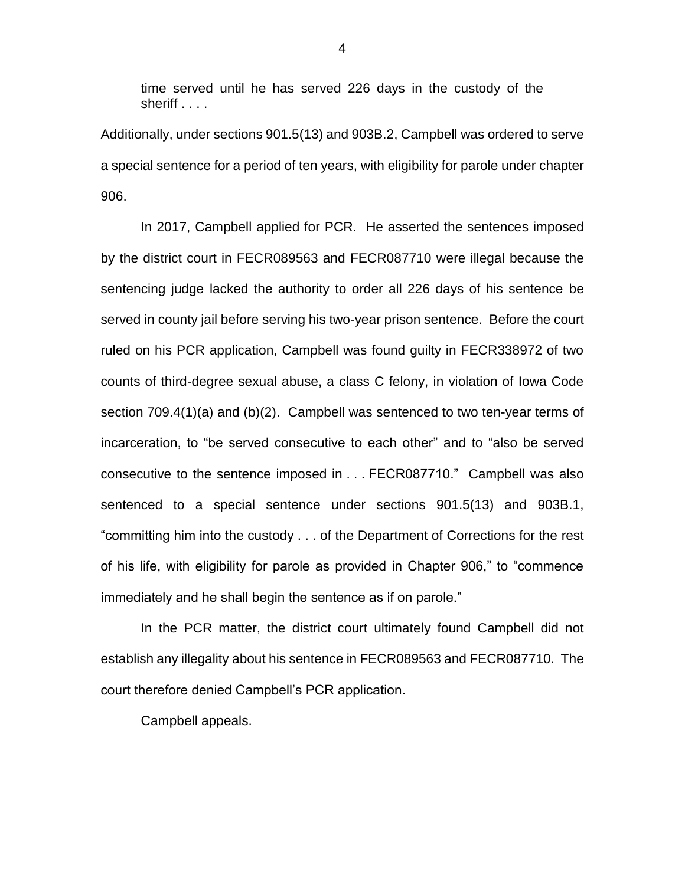time served until he has served 226 days in the custody of the sheriff . . . .

Additionally, under sections 901.5(13) and 903B.2, Campbell was ordered to serve a special sentence for a period of ten years, with eligibility for parole under chapter 906.

In 2017, Campbell applied for PCR. He asserted the sentences imposed by the district court in FECR089563 and FECR087710 were illegal because the sentencing judge lacked the authority to order all 226 days of his sentence be served in county jail before serving his two-year prison sentence. Before the court ruled on his PCR application, Campbell was found guilty in FECR338972 of two counts of third-degree sexual abuse, a class C felony, in violation of Iowa Code section 709.4(1)(a) and (b)(2). Campbell was sentenced to two ten-year terms of incarceration, to "be served consecutive to each other" and to "also be served consecutive to the sentence imposed in . . . FECR087710." Campbell was also sentenced to a special sentence under sections 901.5(13) and 903B.1, "committing him into the custody . . . of the Department of Corrections for the rest of his life, with eligibility for parole as provided in Chapter 906," to "commence immediately and he shall begin the sentence as if on parole."

In the PCR matter, the district court ultimately found Campbell did not establish any illegality about his sentence in FECR089563 and FECR087710. The court therefore denied Campbell's PCR application.

Campbell appeals.

4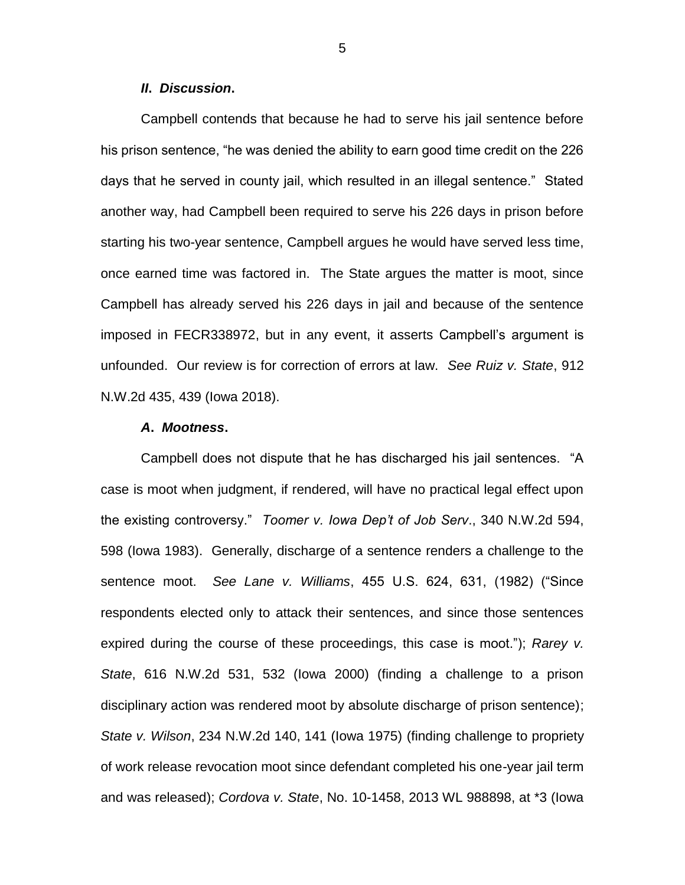#### *II***.** *Discussion***.**

Campbell contends that because he had to serve his jail sentence before his prison sentence, "he was denied the ability to earn good time credit on the 226 days that he served in county jail, which resulted in an illegal sentence." Stated another way, had Campbell been required to serve his 226 days in prison before starting his two-year sentence, Campbell argues he would have served less time, once earned time was factored in. The State argues the matter is moot, since Campbell has already served his 226 days in jail and because of the sentence imposed in FECR338972, but in any event, it asserts Campbell's argument is unfounded. Our review is for correction of errors at law. *See Ruiz v. State*, 912 N.W.2d 435, 439 (Iowa 2018).

#### *A***.** *Mootness***.**

Campbell does not dispute that he has discharged his jail sentences. "A case is moot when judgment, if rendered, will have no practical legal effect upon the existing controversy." *Toomer v. Iowa Dep't of Job Serv*., 340 N.W.2d 594, 598 (Iowa 1983). Generally, discharge of a sentence renders a challenge to the sentence moot. *See Lane v. Williams*, 455 U.S. 624, 631, (1982) ("Since respondents elected only to attack their sentences, and since those sentences expired during the course of these proceedings, this case is moot."); *Rarey v. State*, 616 N.W.2d 531, 532 (Iowa 2000) (finding a challenge to a prison disciplinary action was rendered moot by absolute discharge of prison sentence); *State v. Wilson*, 234 N.W.2d 140, 141 (Iowa 1975) (finding challenge to propriety of work release revocation moot since defendant completed his one-year jail term and was released); *Cordova v. State*, No. 10-1458, 2013 WL 988898, at \*3 (Iowa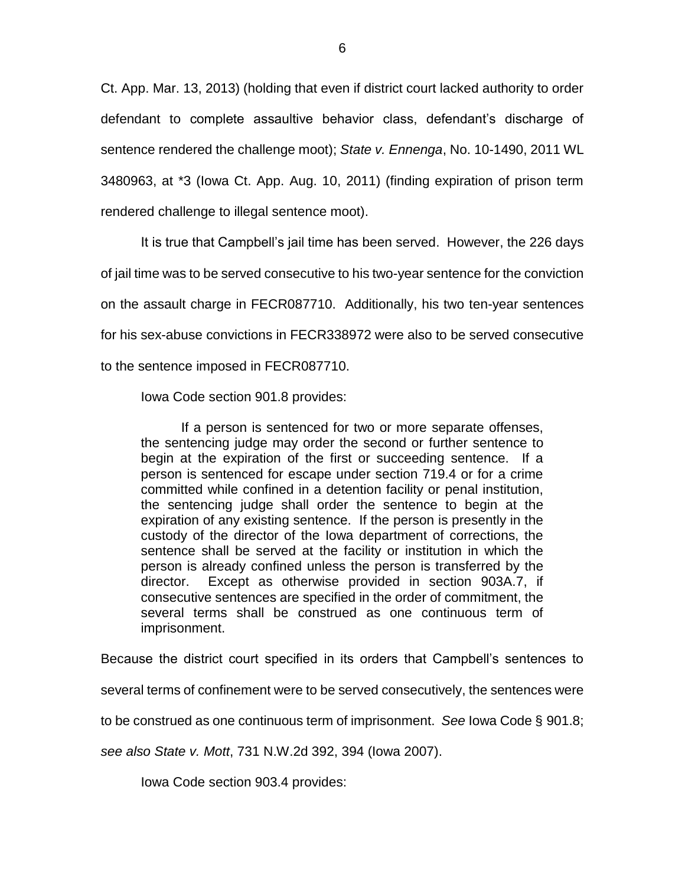Ct. App. Mar. 13, 2013) (holding that even if district court lacked authority to order defendant to complete assaultive behavior class, defendant's discharge of sentence rendered the challenge moot); *State v. Ennenga*, No. 10-1490, 2011 WL 3480963, at \*3 (Iowa Ct. App. Aug. 10, 2011) (finding expiration of prison term rendered challenge to illegal sentence moot).

It is true that Campbell's jail time has been served. However, the 226 days of jail time was to be served consecutive to his two-year sentence for the conviction on the assault charge in FECR087710. Additionally, his two ten-year sentences for his sex-abuse convictions in FECR338972 were also to be served consecutive to the sentence imposed in FECR087710.

Iowa Code section 901.8 provides:

If a person is sentenced for two or more separate offenses, the sentencing judge may order the second or further sentence to begin at the expiration of the first or succeeding sentence. If a person is sentenced for escape under section 719.4 or for a crime committed while confined in a detention facility or penal institution, the sentencing judge shall order the sentence to begin at the expiration of any existing sentence. If the person is presently in the custody of the director of the Iowa department of corrections, the sentence shall be served at the facility or institution in which the person is already confined unless the person is transferred by the director. Except as otherwise provided in section 903A.7, if consecutive sentences are specified in the order of commitment, the several terms shall be construed as one continuous term of imprisonment.

Because the district court specified in its orders that Campbell's sentences to

several terms of confinement were to be served consecutively, the sentences were

to be construed as one continuous term of imprisonment. *See* Iowa Code § 901.8;

*see also State v. Mott*, 731 N.W.2d 392, 394 (Iowa 2007).

Iowa Code section 903.4 provides: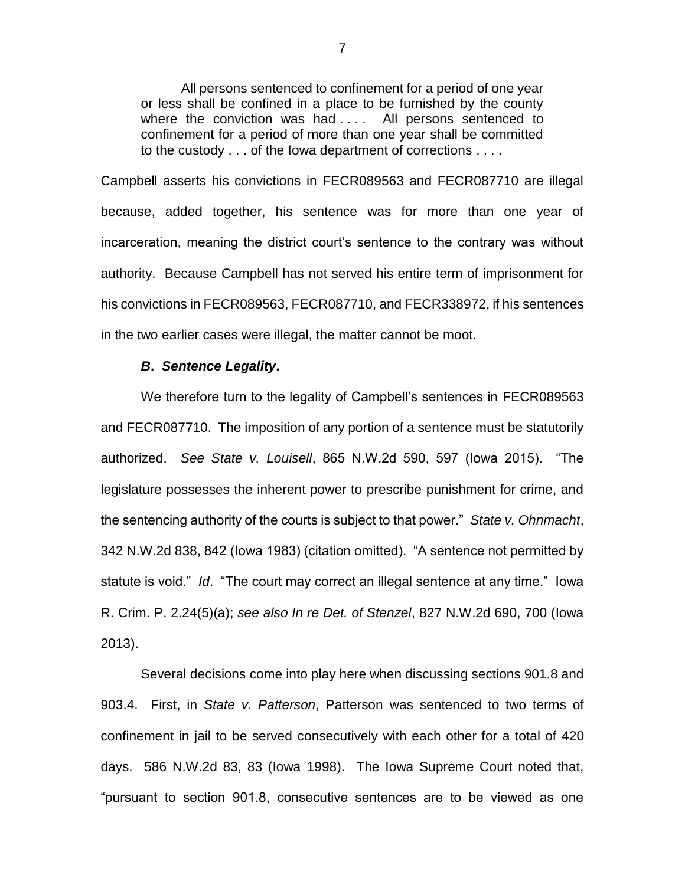All persons sentenced to confinement for a period of one year or less shall be confined in a place to be furnished by the county where the conviction was had .... All persons sentenced to confinement for a period of more than one year shall be committed to the custody . . . of the Iowa department of corrections . . . .

Campbell asserts his convictions in FECR089563 and FECR087710 are illegal because, added together, his sentence was for more than one year of incarceration, meaning the district court's sentence to the contrary was without authority. Because Campbell has not served his entire term of imprisonment for his convictions in FECR089563, FECR087710, and FECR338972, if his sentences in the two earlier cases were illegal, the matter cannot be moot.

## *B***.** *Sentence Legality***.**

We therefore turn to the legality of Campbell's sentences in FECR089563 and FECR087710. The imposition of any portion of a sentence must be statutorily authorized. *See State v. Louisell*, 865 N.W.2d 590, 597 (Iowa 2015). "The legislature possesses the inherent power to prescribe punishment for crime, and the sentencing authority of the courts is subject to that power." *State v. Ohnmacht*, 342 N.W.2d 838, 842 (Iowa 1983) (citation omitted). "A sentence not permitted by statute is void." *Id*. "The court may correct an illegal sentence at any time." Iowa R. Crim. P. 2.24(5)(a); *see also In re Det. of Stenzel*, 827 N.W.2d 690, 700 (Iowa 2013).

Several decisions come into play here when discussing sections 901.8 and 903.4. First, in *State v. Patterson*, Patterson was sentenced to two terms of confinement in jail to be served consecutively with each other for a total of 420 days. 586 N.W.2d 83, 83 (Iowa 1998). The Iowa Supreme Court noted that, "pursuant to section 901.8, consecutive sentences are to be viewed as one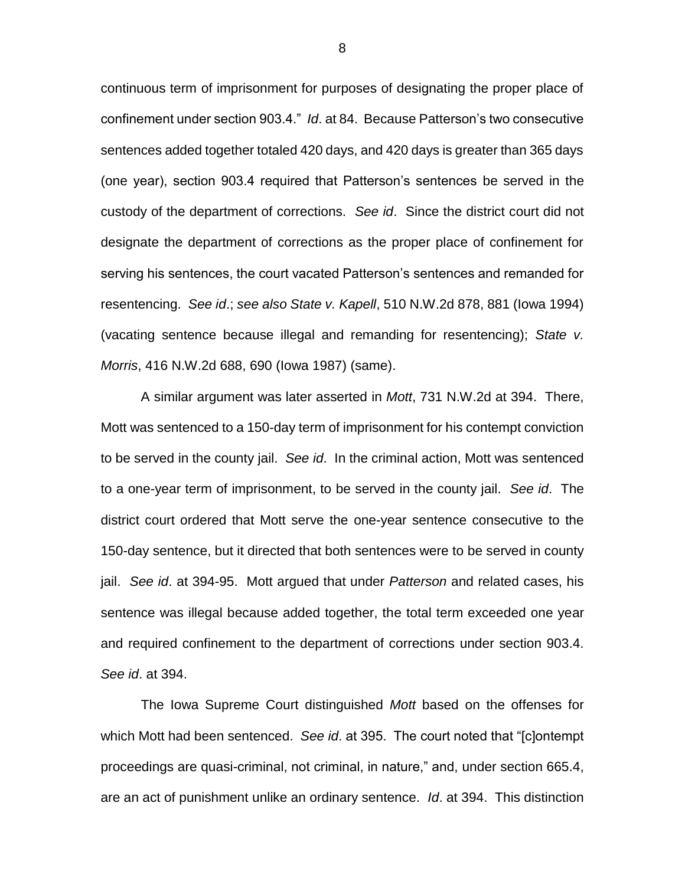continuous term of imprisonment for purposes of designating the proper place of confinement under section 903.4." *Id*. at 84. Because Patterson's two consecutive sentences added together totaled 420 days, and 420 days is greater than 365 days (one year), section 903.4 required that Patterson's sentences be served in the custody of the department of corrections. *See id*. Since the district court did not designate the department of corrections as the proper place of confinement for serving his sentences, the court vacated Patterson's sentences and remanded for resentencing. *See id*.; *see also State v. Kapell*, 510 N.W.2d 878, 881 (Iowa 1994) (vacating sentence because illegal and remanding for resentencing); *State v. Morris*, 416 N.W.2d 688, 690 (Iowa 1987) (same).

A similar argument was later asserted in *Mott*, 731 N.W.2d at 394. There, Mott was sentenced to a 150-day term of imprisonment for his contempt conviction to be served in the county jail. *See id*. In the criminal action, Mott was sentenced to a one-year term of imprisonment, to be served in the county jail. *See id*. The district court ordered that Mott serve the one-year sentence consecutive to the 150-day sentence, but it directed that both sentences were to be served in county jail. *See id*. at 394-95. Mott argued that under *Patterson* and related cases, his sentence was illegal because added together, the total term exceeded one year and required confinement to the department of corrections under section 903.4. *See id*. at 394.

The Iowa Supreme Court distinguished *Mott* based on the offenses for which Mott had been sentenced. *See id*. at 395. The court noted that "[c]ontempt proceedings are quasi-criminal, not criminal, in nature," and, under section 665.4, are an act of punishment unlike an ordinary sentence. *Id*. at 394. This distinction

8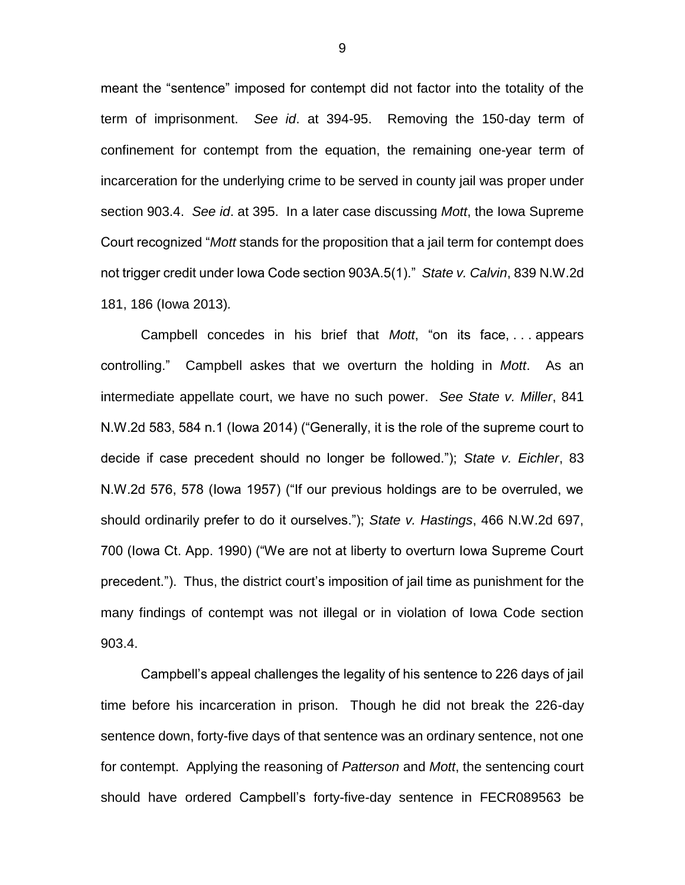meant the "sentence" imposed for contempt did not factor into the totality of the term of imprisonment. *See id*. at 394-95. Removing the 150-day term of confinement for contempt from the equation, the remaining one-year term of incarceration for the underlying crime to be served in county jail was proper under section 903.4. *See id*. at 395. In a later case discussing *Mott*, the Iowa Supreme Court recognized "*Mott* stands for the proposition that a jail term for contempt does not trigger credit under Iowa Code section 903A.5(1)." *State v. Calvin*, 839 N.W.2d 181, 186 (Iowa 2013)*.*

Campbell concedes in his brief that *Mott*, "on its face, . . . appears controlling." Campbell askes that we overturn the holding in *Mott*. As an intermediate appellate court, we have no such power. *See State v. Miller*, 841 N.W.2d 583, 584 n.1 (Iowa 2014) ("Generally, it is the role of the supreme court to decide if case precedent should no longer be followed."); *State v. Eichler*, 83 N.W.2d 576, 578 (Iowa 1957) ("If our previous holdings are to be overruled, we should ordinarily prefer to do it ourselves."); *State v. Hastings*, 466 N.W.2d 697, 700 (Iowa Ct. App. 1990) ("We are not at liberty to overturn Iowa Supreme Court precedent."). Thus, the district court's imposition of jail time as punishment for the many findings of contempt was not illegal or in violation of Iowa Code section 903.4.

Campbell's appeal challenges the legality of his sentence to 226 days of jail time before his incarceration in prison. Though he did not break the 226-day sentence down, forty-five days of that sentence was an ordinary sentence, not one for contempt. Applying the reasoning of *Patterson* and *Mott*, the sentencing court should have ordered Campbell's forty-five-day sentence in FECR089563 be

9